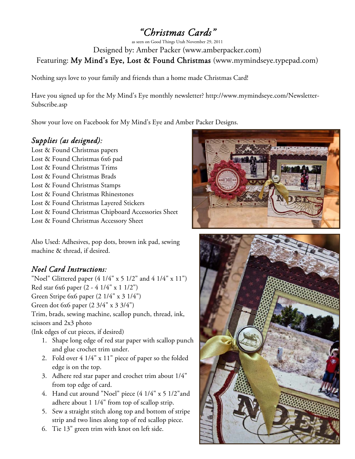# *"Christmas Cards"*

as seen on Good Things Utah November 29, 2011 Designed by: Amber Packer (www.amberpacker.com) Featuring: My Mind's Eye, Lost & Found Christmas (www.mymindseye.typepad.com)

Nothing says love to your family and friends than a home made Christmas Card!

Have you signed up for the My Mind's Eye monthly newsletter? http://www.mymindseye.com/Newsletter-Subscribe.asp

Show your love on Facebook for My Mind's Eye and Amber Packer Designs.

## *Supplies (as designed):*

Lost & Found Christmas papers Lost & Found Christmas 6x6 pad Lost & Found Christmas Trims Lost & Found Christmas Brads Lost & Found Christmas Stamps Lost & Found Christmas Rhinestones Lost & Found Christmas Layered Stickers Lost & Found Christmas Chipboard Accessories Sheet Lost & Found Christmas Accessory Sheet

Also Used: Adhesives, pop dots, brown ink pad, sewing machine & thread, if desired.

## *Noel Card Instructions:*

"Noel" Glittered paper  $(4 \frac{1}{4}$ " x 5  $\frac{1}{2}$ " and  $4 \frac{1}{4}$ " x  $11$ ") Red star 6x6 paper (2 - 4 1/4" x 1 1/2") Green Stripe 6x6 paper (2 1/4" x 3 1/4") Green dot 6x6 paper (2 3/4" x 3 3/4")

Trim, brads, sewing machine, scallop punch, thread, ink, scissors and 2x3 photo

(Ink edges of cut pieces, if desired)

- 1. Shape long edge of red star paper with scallop punch and glue crochet trim under.
- 2. Fold over 4 1/4" x 11" piece of paper so the folded edge is on the top.
- 3. Adhere red star paper and crochet trim about 1/4" from top edge of card.
- 4. Hand cut around "Noel" piece (4 1/4" x 5 1/2"and adhere about 1 1/4" from top of scallop strip.
- 5. Sew a straight stitch along top and bottom of stripe strip and two lines along top of red scallop piece.
- 6. Tie 13" green trim with knot on left side.